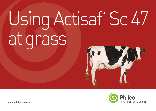# Using Actisaf® Sc 47 at grass





yeastsolutions.co.uk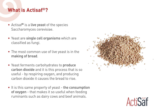# **What is Actisaf®?**

- Actisaf<sup>®</sup> is a live yeast of the species Saccharomyces cerevisiae.
- Yeast are single cell organisms which are classified as fungi.
- The most common use of live yeast is in the making of bread.
- Yeast ferments carbohydrates to produce carbon dioxide and it is this process that is so useful - by respiring oxygen, and producing carbon dioxide it causes the bread to rise.
- It is this same property of yeast the consumption of oxygen - that makes it so useful when feeding ruminants such as dairy cows and beef animals.



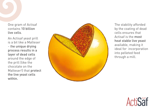One gram of Actisaf contains 10 billion live cells.

An Actisaf yeast prill is a bit like a Malteser - the unique drying process results in a layer of dead cells around the edge of the prill (like the chocolate on the Malteser!) that protect the live yeast cells within.



The stability afforded by the coating of dead cells ensures that Actisaf is the most heat stable live yeast available, making it ideal for incorporation into pelleted feed through a mill.

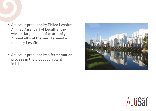- Actisaf is produced by Phileo Lesaffre Animal Care, part of Lesaffre, the world's largest manufacturer of yeast. Around 40% of the world's yeast is made by Lesaffre!
- Actisaf is produced by a fermentation process in the production plant in Lille.



![](_page_3_Picture_3.jpeg)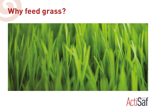# **Why feed grass?**

![](_page_4_Picture_1.jpeg)

![](_page_4_Picture_2.jpeg)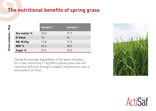# **The nutritional benefits of spring grass**

|                  | <b>Sample 1</b> | <b>Sample 2</b> |
|------------------|-----------------|-----------------|
| Dry matter %     | 22.0            | 17.7            |
| D-Value          | 76              | 74              |
| ME-MJ/kg         | 11.8            | 11.5            |
| NDF <sub>%</sub> | 42.6            | 38.5            |
| Sugar %          | 21.4            | 14.3            |

Taking the average digestibility of the above samples, for a cow consuming 17 kg DM of grazed grass she will consume sufficient energy to support maintenance plus a milk yield of 26 litres

![](_page_5_Picture_3.jpeg)

![](_page_5_Picture_4.jpeg)

Grass analysis - May **Grass analysis - May**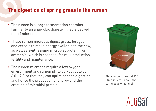## **The digestion of spring grass in the rumen**

- The rumen is a large fermentation chamber (similar to an anaerobic digester) that is packed full of microbes.
- These rumen microbes digest grass, forages and cereals to make energy available to the cow, as well as synthesising microbial protein from ammonia, which is essential for milk production, fertility and maintenance.
- The rumen microbes require a low oxygen environment and rumen pH to be kept between 6.0 - 7.0 so that they can optimise feed digestion and hence the production of energy and the creation of microbial protein.

![](_page_6_Picture_4.jpeg)

The rumen is around 120 litres in size - about the same as a wheelie bin!

![](_page_6_Picture_6.jpeg)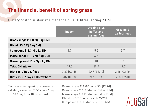# **The financial benefit of spring grass**

Dietary cost to sustain maintenance plus 30 litres (spring 2016)

|                                | Indoor         | <b>Grazing plus</b><br>buffer and<br>parlour feed | <b>Grazing &amp;</b><br>parlour feed |
|--------------------------------|----------------|---------------------------------------------------|--------------------------------------|
| Grass silage (11.0 Mj / kg DM) | 12             |                                                   |                                      |
| Blend (13.0 Mj / kg DM)        | $\overline{6}$ |                                                   |                                      |
| Compound (13.3 Mj / kg DM)     | 1.7            | 5.2                                               | 5.7                                  |
| Maize silage (11.5 Mj / kg DM) |                | 4.5                                               |                                      |
| Grazed grass (11.5 Mj / kg DM) |                | 10                                                | 14                                   |
| <b>Total DM intake</b>         | 19.7           | 19.7                                              | 19.7                                 |
| Diet cost / hd / $E$ / day     | $2.82$ (€3.58) | $2.47$ (€3.14)                                    | $2.28$ (€2.90)                       |
| Diet cost $E/day/100$ cow herd | 282 [€358]     | $247$ (£314)                                      | 228 (€290)                           |

Each day spent grazing represents a dietary saving of £0.54 / cow / day or £54 / day for a 100 cow herd

Grazed grass @ £70/tonne DM (€89/t) Grass silage @ £100/tonne DM (€127/t) Maize silage @ £130/tonne DM (€165/t) Blend @ £180/tonne fresh (€229/t) Compound @ £200/tonne fresh (€254/t)

![](_page_7_Picture_5.jpeg)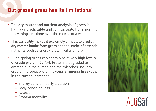# **But grazed grass has its limitations!**

- The dry matter and nutrient analysis of grass is highly unpredictable and can fluctuate from morning to evening, let alone over the course of a week.
- This variability makes it extremely difficult to predict dry matter intake from grass and the intake of essential nutrients such as energy, protein, oil and fibre.
- Lush spring grass can contain relatively high levels of crude protein (25%+). Protein is degraded to ammonia in the rumen and the microbes use it to create microbial protein. Excess ammonia breakdown in the rumen increases:
	- Energy deficit in early lactation
	- Body condition loss
	- Ketosis
	- Embryo mortality

![](_page_8_Picture_8.jpeg)

![](_page_8_Picture_9.jpeg)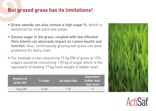### **But grazed grass has its limitations!**

- Grass swards can also contain a high sugar %, which is beneficial for milk yield and solids.
- Excess sugar in the grass, coupled with low effective fibre (stem) can adversely impact on rumen health and function. Also, continuously grazing wet grass can pose problems for dairy cows.
- For example a cow consuming 15 kg DM of grass at 13% sugars would be consuming 1.95 kg of sugar which is the equivalent of feeding 17 kg fresh weight of fodder beet:

| Amount of<br>grass fed | % sugar | kg sugar/day | <b>Equivalent</b><br>fodder beet<br>(kg) fresh |
|------------------------|---------|--------------|------------------------------------------------|
| 15kg DM                | 13.00   | 1.95         |                                                |

![](_page_9_Picture_5.jpeg)

Acti**Saf**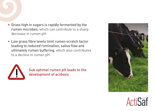- Grass high in sugars is rapidly fermented by the rumen microbes, which can contribute to a sharp decrease in rumen pH.
- Low grass fibre levels limit rumen scratch factor leading to reduced rumination, saliva flow and ultimately rumen buffering, which also contributes to a decline in rumen pH

![](_page_10_Picture_2.jpeg)

Sub optimal rumen pH leads to the development of acidosis

![](_page_10_Picture_4.jpeg)

![](_page_10_Picture_5.jpeg)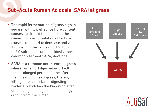# **Sub-Acute Rumen Acidosis (SARA) at grass**

- The rapid fermentation of grass high in sugars, with low effective fibre content causes lactic acid to build up in the rumen. This accumulation of lactic acid causes rumen pH to decrease and when it drops into the range of pH 6.0 down to 5.0 sub-acute rumen acidosis, more commonly termed SARA, develops.
- SARA is a common occurrence at grass where rumen pH dips below pH 6.0 for a prolonged period of time after the ingestion of leafy grass, thereby killing fibre- and starch-digesting bacteria, which has the knock-on effect of reducing feed digestion and energy output from the rumen.

![](_page_11_Figure_3.jpeg)

![](_page_11_Picture_4.jpeg)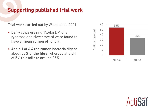# **Supporting published trial work**

Trial work carried out by Wales et al. 2001

- Dairy cows grazing 15.6kg DM of a ryegrass and clover sward were found to have a mean rumen pH of 5.9.
- At a pH of 6.4 the rumen bacteria digest about 55% of the fibre, whereas at a pH of 5.6 this falls to around 35%.

![](_page_12_Figure_4.jpeg)

![](_page_12_Picture_5.jpeg)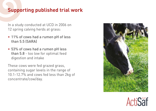# **Supporting published trial work**

In a study conducted at UCD in 2006 on 12 spring calving herds at grass:

- 11% of cows had a rumen pH of less than 5.5 (SARA)
- 53% of cows had a rumen pH less than 5.8 - too low for optimal feed digestion and intake

These cows were fed grazed grass, containing sugar levels in the range of 10.1-12.7% and cows fed less than 2kg of concentrate/cow/day.

![](_page_13_Picture_5.jpeg)

![](_page_13_Picture_6.jpeg)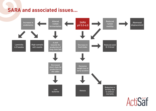### **SARA and associated issues...**

![](_page_14_Figure_1.jpeg)

ActiSaf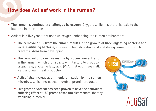### **How does Actisaf work in the rumen?**

- The rumen is continually challenged by oxygen. Oxygen, while it is there, is toxic to the bacteria in the rumen
- Actisaf is a live yeast that uses up oxygen, enhancing the rumen environment
	- The removal of O2 from the rumen results in the growth of fibre-digesting bacteria and lactate-utilising bacteria, increasing feed digestion and stabilising rumen pH, which prevents SARA from developing
	- The removal of O2 increases the hydrogen concentration in the rumen, which then reacts with lactate to produce propionate, a volatile fatty acid (VFA) that optimises milk yield and lean meat production
	- Actisaf also increases ammonia utilisation by the rumen microbes, which increases microbial protein production
	- Five grams of Actisaf has been proven to have the equivalent buffering effect of 150 grams of sodium bicarbonate, thereby stabilising rumen pH.

![](_page_15_Picture_7.jpeg)

Acti**Saf**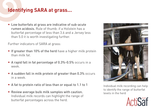# **Identifying SARA at grass...**

• Low butterfats at grass are indicative of sub-acute rumen acidosis. Rule of thumb: if a Holstein has a butterfat percentage of less than 3.6 and a Jersey less than 5.0 it is worth investigating further.

Further indicators of SARA at grass:

- If greater than 10% of the herd have a higher milk protein than milk fat.
- A rapid fall in fat percentage of 0.3%-0.5% occurs in a week.
- A sudden fall in milk protein of greater than 0.3% occurs in a week.
- A fat to protein ratio of less than or equal to 1.1 to 1
- Review average bulk milk samples with caution. Individual milk records can highlight the range of butterfat percentages across the herd.

![](_page_16_Picture_8.jpeg)

Individual milk recording can help to identify the range of butterfat levels in the herd

![](_page_16_Picture_10.jpeg)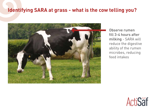### **Identifying SARA at grass - what is the cow telling you?**

![](_page_17_Picture_1.jpeg)

Observe rumen fill 3-4 hours after milking - SARA will reduce the digestive ability of the rumen microbes, reducing feed intakes

![](_page_17_Picture_3.jpeg)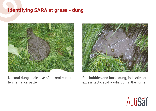### **Identifying SARA at grass - dung**

![](_page_18_Picture_1.jpeg)

Normal dung, indicative of normal rumen fermentation pattern

![](_page_18_Picture_3.jpeg)

Gas bubbles and loose dung, indicative of excess lactic acid production in the rumen

![](_page_18_Picture_5.jpeg)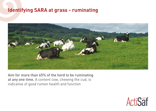#### **Identifying SARA at grass - ruminating**

![](_page_19_Picture_1.jpeg)

Aim for more than 65% of the herd to be ruminating at any one time. A content cow, chewing the cud, is indicative of good rumen health and function

![](_page_19_Picture_3.jpeg)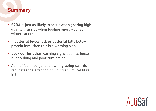#### **Summary**

- SARA is just as likely to occur when grazing high quality grass as when feeding energy-dense winter rations
- If butterfat levels fall, or butterfat falls below protein level then this is a warning sign
- Look our for other warning signs such as loose, bubbly dung and poor rumination
- Actisaf fed in conjunction with grazing swards replicates the effect of including structural fibre in the diet.

![](_page_20_Picture_5.jpeg)